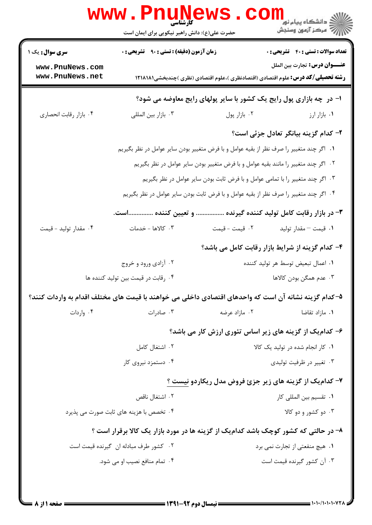| حضرت علی(ع): دانش راهبر نیکویی برای ایمان است<br>زمان آزمون (دقیقه) : تستی : ۹۰٪ تشریحی : ۰<br>ا- در چه بازاری پول رایج یک کشور با سایر پولهای رایج معاوضه می شود؟<br>۰۳ بازار بين المللي<br>٠٢ بازار پول<br>۰۱ اگر چند متغییر را صرف نظر از بقیه عوامل و با فرض متغییر بودن سایر عوامل در نظر بگیریم<br>۰۲ اگر چند متغییر را مانند بقیه عوامل و با فرض متغییر بودن سایر عوامل در نظر بگیریم<br>۰۳ اگر چند متغییر را با تمامی عوامل و با فرض ثابت بودن سایر عوامل در نظر بگیریم<br>۰۴ اگر چند متغییر را صرف نظر از بقیه عوامل و با فرض ثابت بودن سایر عوامل در نظر بگیریم<br>و تعيين كننده است. | الاد دانشگاه پيام نور<br>الاستخاب پيام نور<br>الاستخاب آزمهن وسنجش<br><b>تعداد سوالات : تستی : 40 قشریحی : 0</b><br><b>عنــــوان درس:</b> تجارت بين الملل<br><b>رشته تحصیلی/کد درس:</b> علوم اقتصادی (اقتصادنظری )،علوم اقتصادی (نظری )چندبخشی1۲۱۸۱۸۱<br>۰۱ بازار ارز<br>۲- کدام گزینه بیانگر تعادل جزئی است؟<br>۳- در بازار رقابت کامل تولید کننده گیرنده |
|-------------------------------------------------------------------------------------------------------------------------------------------------------------------------------------------------------------------------------------------------------------------------------------------------------------------------------------------------------------------------------------------------------------------------------------------------------------------------------------------------------------------------------------------------------------------------------------------------|------------------------------------------------------------------------------------------------------------------------------------------------------------------------------------------------------------------------------------------------------------------------------------------------------------------------------------------------------------|
|                                                                                                                                                                                                                                                                                                                                                                                                                                                                                                                                                                                                 |                                                                                                                                                                                                                                                                                                                                                            |
|                                                                                                                                                                                                                                                                                                                                                                                                                                                                                                                                                                                                 |                                                                                                                                                                                                                                                                                                                                                            |
|                                                                                                                                                                                                                                                                                                                                                                                                                                                                                                                                                                                                 |                                                                                                                                                                                                                                                                                                                                                            |
|                                                                                                                                                                                                                                                                                                                                                                                                                                                                                                                                                                                                 |                                                                                                                                                                                                                                                                                                                                                            |
|                                                                                                                                                                                                                                                                                                                                                                                                                                                                                                                                                                                                 |                                                                                                                                                                                                                                                                                                                                                            |
|                                                                                                                                                                                                                                                                                                                                                                                                                                                                                                                                                                                                 |                                                                                                                                                                                                                                                                                                                                                            |
|                                                                                                                                                                                                                                                                                                                                                                                                                                                                                                                                                                                                 |                                                                                                                                                                                                                                                                                                                                                            |
|                                                                                                                                                                                                                                                                                                                                                                                                                                                                                                                                                                                                 |                                                                                                                                                                                                                                                                                                                                                            |
|                                                                                                                                                                                                                                                                                                                                                                                                                                                                                                                                                                                                 |                                                                                                                                                                                                                                                                                                                                                            |
|                                                                                                                                                                                                                                                                                                                                                                                                                                                                                                                                                                                                 |                                                                                                                                                                                                                                                                                                                                                            |
|                                                                                                                                                                                                                                                                                                                                                                                                                                                                                                                                                                                                 |                                                                                                                                                                                                                                                                                                                                                            |
| ۰۳ کالاها - خدمات<br>٢. قيمت - قيمت                                                                                                                                                                                                                                                                                                                                                                                                                                                                                                                                                             | ٠١ قيمت – مقدار توليد                                                                                                                                                                                                                                                                                                                                      |
|                                                                                                                                                                                                                                                                                                                                                                                                                                                                                                                                                                                                 | ۴- کدام گزینه از شرایط بازار رقابت کامل می باشد؟                                                                                                                                                                                                                                                                                                           |
| ۰۲ آزادی ورود و خروج                                                                                                                                                                                                                                                                                                                                                                                                                                                                                                                                                                            | ۰۱ اعمال تبعيض توسط هر توليد كننده                                                                                                                                                                                                                                                                                                                         |
| ۰۴ رقابت در قیمت بین تولید کننده ها                                                                                                                                                                                                                                                                                                                                                                                                                                                                                                                                                             | ۰۳ عدم همگن بودن کالاها                                                                                                                                                                                                                                                                                                                                    |
| ۵–کدام گزینه نشانه آن است که واحدهای اقتصادی داخلی می خواهند با قیمت های مختلف اقدام به واردات کنند؟                                                                                                                                                                                                                                                                                                                                                                                                                                                                                            |                                                                                                                                                                                                                                                                                                                                                            |
| ۰۳ صادرات<br>۰۲ مازاد عرضه                                                                                                                                                                                                                                                                                                                                                                                                                                                                                                                                                                      | ۰۱ مازاد تقاضا                                                                                                                                                                                                                                                                                                                                             |
|                                                                                                                                                                                                                                                                                                                                                                                                                                                                                                                                                                                                 | ۶- کدام یک از گزینه های زیر اساس تئوری ارزش کار می باشد؟                                                                                                                                                                                                                                                                                                   |
| ۰۲ اشتغال کامل                                                                                                                                                                                                                                                                                                                                                                                                                                                                                                                                                                                  | ۰۱ کار انجام شده در تولید یک کالا                                                                                                                                                                                                                                                                                                                          |
| ۰۴ دستمزد نیروی کار                                                                                                                                                                                                                                                                                                                                                                                                                                                                                                                                                                             | ۰۳ تغییر در ظرفیت تولیدی                                                                                                                                                                                                                                                                                                                                   |
|                                                                                                                                                                                                                                                                                                                                                                                                                                                                                                                                                                                                 | ۷- کدام یک از گزینه های زیر جزئ فروض مدل ریکاردو نیست ؟                                                                                                                                                                                                                                                                                                    |
| ۰۲ اشتغال ناقص                                                                                                                                                                                                                                                                                                                                                                                                                                                                                                                                                                                  | ۰۱ تقسیم بین المللی کار                                                                                                                                                                                                                                                                                                                                    |
| ۰۴ تخصص با هزینه های ثابت صورت می پذیرد                                                                                                                                                                                                                                                                                                                                                                                                                                                                                                                                                         | ۰۳ دو کشور و دو کالا                                                                                                                                                                                                                                                                                                                                       |
| ۸- در حالتی که کشور کوچک باشد کدامیک از گزینه ها در مورد بازار یک کالا برقرار است ؟                                                                                                                                                                                                                                                                                                                                                                                                                                                                                                             |                                                                                                                                                                                                                                                                                                                                                            |
|                                                                                                                                                                                                                                                                                                                                                                                                                                                                                                                                                                                                 | ۰۱ هیچ منفعتی از تجارت نمی برد                                                                                                                                                                                                                                                                                                                             |
| ۰۲ کشور طرف مبادله ان گیرنده قیمت است                                                                                                                                                                                                                                                                                                                                                                                                                                                                                                                                                           | ۰۳ آن کشور گیرنده قیمت است                                                                                                                                                                                                                                                                                                                                 |
|                                                                                                                                                                                                                                                                                                                                                                                                                                                                                                                                                                                                 | ۰۴ تمام منافع نصیب او می شود.                                                                                                                                                                                                                                                                                                                              |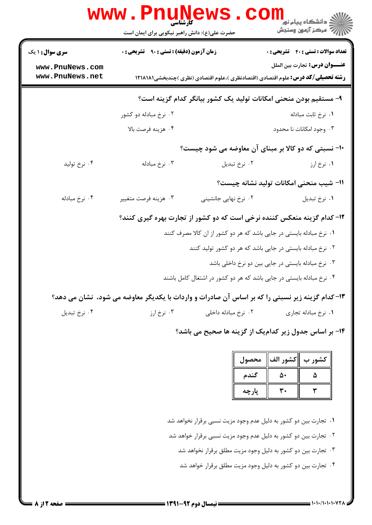| <b>www.PnuNews</b><br>≧ دانشگاه پیام نو <mark>ر</mark><br>کارشناسہ |                                                  |                                                                                                                                  |                                                                                                  |  |  |
|--------------------------------------------------------------------|--------------------------------------------------|----------------------------------------------------------------------------------------------------------------------------------|--------------------------------------------------------------------------------------------------|--|--|
|                                                                    | حضرت علی(ع): دانش راهبر نیکویی برای ایمان است    |                                                                                                                                  | رآب مرڪز آزمون وسنڊش                                                                             |  |  |
| <b>سری سوال : ۱ یک</b>                                             | <b>زمان آزمون (دقیقه) : تستی : ۹۰ قشریحی : 0</b> |                                                                                                                                  | <b>تعداد سوالات : تستی : 40 قشریحی : 0</b>                                                       |  |  |
| www.PnuNews.com<br>www.PnuNews.net                                 |                                                  | <b>عنـــوان درس:</b> تجارت بين الملل<br><b>رشته تحصیلی/کد درس:</b> علوم اقتصادی (اقتصادنظری )،علوم اقتصادی (نظری )چندبخشی1۲۱۸۱۸۱ |                                                                                                  |  |  |
|                                                                    |                                                  |                                                                                                                                  | ۹- مستقیم بودن منحنی امکانات تولید یک کشور بیانگر کدام گزینه است؟                                |  |  |
|                                                                    | ۰۲ نرخ مبادله دو کشور                            |                                                                                                                                  | ٠١ نرخ ثابت مبادله                                                                               |  |  |
|                                                                    | ۰۴ هزينه فرصت بالا                               |                                                                                                                                  | ۰۳ وجود امکانات نا محدود                                                                         |  |  |
|                                                                    |                                                  |                                                                                                                                  | <b>۰۱- نسبتی که دو کالا بر مبنای آن معاوضه می شود چیست</b> ؟                                     |  |  |
| ۰۴ نرخ تولید                                                       | ۰۳ نرخ مبادله                                    | ۰۲ نرخ تبدیل                                                                                                                     | ۰۱ نرخ ارز                                                                                       |  |  |
|                                                                    |                                                  |                                                                                                                                  | 11- شيب منحني امكانات توليد نشانه چيست؟                                                          |  |  |
| ۰۴ نرخ مبادله                                                      | ۰۳ هزينه فرصت متغيير                             | ۰۲ نرخ نهایی جانشینی                                                                                                             | ٠١ نرخ تبديل                                                                                     |  |  |
|                                                                    |                                                  |                                                                                                                                  | ۱۲- کدام گزینه منعکس کننده نرخی است که دو کشور از تجارت بهره گیری کنند؟                          |  |  |
|                                                                    |                                                  | ۰۱ نرخ مبادله بایستی در جایی باشد که هر دو کشور از ان کالا مصرف کنند                                                             |                                                                                                  |  |  |
|                                                                    |                                                  | ۰۲ نرخ مبادله بایستی در جایی باشد که هر دو کشور تولید کنند                                                                       |                                                                                                  |  |  |
|                                                                    |                                                  |                                                                                                                                  | ۰۳ نرخ مبادله بایستی در جایی بین دو نرخ داخلی باشد                                               |  |  |
|                                                                    |                                                  | ۰۴ نرخ مبادله بایستی در جایی باشد که هر دو کشور در اشتغال کامل باشند                                                             |                                                                                                  |  |  |
|                                                                    |                                                  |                                                                                                                                  | ۱۳- کدام گزینه زیر نسبتی را که بر اساس آن صادرات و واردات با یکدیگر معاوضه می شود،  نشان می دهد؟ |  |  |
| ۰۴ نرخ تبدیل                                                       |                                                  |                                                                                                                                  |                                                                                                  |  |  |
|                                                                    |                                                  |                                                                                                                                  | ۱۴- بر اساس جدول زیر کدامیک از گزینه ها صحیح می باشد؟                                            |  |  |

| محصول | كشور الف | دشور ب |
|-------|----------|--------|
| گندھ  |          |        |
| 'رچه  |          |        |

۰۱ تجارت بین دو کشور به دلیل عدم وجود مزیت نسبی برقرار نخواهد شد

۲ . تجارت بین دو کشور به دلیل عدم وجود مزیت نسبی برقرار خواهد شد

۰۳ تجارت بین دو کشور به دلیل وجود مزیت مطلق برقرار نخواهد شد

۰۴ تجارت بین دو کشور به دلیل وجود مزیت مطلق برقرار خواهد شد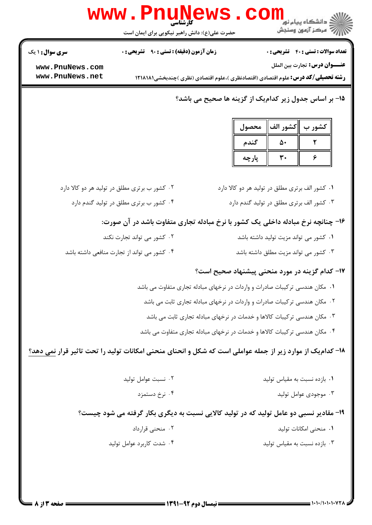

= نیمسال دوم 92-1391 =

**: صفحه 3 از 8 =** 

|                                                                                                           |                                                | محصول | كشور ب   كشور الف |                                                 |  |
|-----------------------------------------------------------------------------------------------------------|------------------------------------------------|-------|-------------------|-------------------------------------------------|--|
|                                                                                                           |                                                | گندم  | ۵۰                | ٢                                               |  |
|                                                                                                           |                                                | پارچه | ٣٠                | ۶                                               |  |
|                                                                                                           |                                                |       |                   |                                                 |  |
| ۰۲ کشور ب برتری مطلق در تولید هر دو کالا دارد                                                             |                                                |       |                   | ۰۱ کشور الف برتری مطلق در تولید هر دو کالا دارد |  |
| ۰۴ کشور ب برتری مطلق در تولید گندم دارد                                                                   |                                                |       |                   | ۰۳ کشور الف برتری مطلق در تولید گندم دارد       |  |
| ۱۶- چنانچه نرخ مبادله داخلی یک کشور با نرخ مبادله تجاری متفاوت باشد در آن صورت:                           |                                                |       |                   |                                                 |  |
| ۰۲ کشور می تواند تجارت نکند                                                                               |                                                |       |                   | ٠١ كشور مى تواند مزيت توليد داشته باشد          |  |
| ۰۴ کشور می تواند از تجارت منافعی داشته باشد                                                               |                                                |       |                   | ۰۳ کشور می تواند مزیت مطلق داشته باشد           |  |
|                                                                                                           | ۱۷– کدام گزینه در مورد منحنی پیشنهاد صحیح است؟ |       |                   |                                                 |  |
| ۰۱ مکان هندسی ترکیبات صادرات و واردات در نرخهای مبادله تجاری متفاوت می باشد                               |                                                |       |                   |                                                 |  |
| ۰۲ مکان هندسی ترکیبات صادرات و واردات در نرخهای مبادله تجاری ثابت می باشد                                 |                                                |       |                   |                                                 |  |
| ۰۳ مکان هندسی ترکیبات کالاها و خدمات در نرخهای مبادله تجاری ثابت می باشد                                  |                                                |       |                   |                                                 |  |
| ۰۴ مکان هندسی ترکیبات کالاها و خدمات در نرخهای مبادله تجاری متفاوت می باشد                                |                                                |       |                   |                                                 |  |
| ۱۸– کدامیک از موارد زیر از جمله عواملی است که شکل و انحنای منحنی امکانات تولید را تحت تاثیر قرار نمی دهد؟ |                                                |       |                   |                                                 |  |
|                                                                                                           |                                                |       |                   |                                                 |  |
| ۰۲ نسبت عوامل توليد                                                                                       |                                                |       |                   | ۰۱ بازده نسبت به مقیاس تولید                    |  |
| ۰۴ نرخ دستمزد                                                                                             |                                                |       |                   | ۰۳ موجودی عوامل تولید                           |  |
| ۱۹- مقادیر نسبی دو عامل تولید که در تولید کالایی نسبت به دیگری بکار گرفته می شود چیست؟                    |                                                |       |                   |                                                 |  |
| ۰۲ منحنی قرارداد                                                                                          |                                                |       |                   | ۰۱ منحنی امکانات تولید                          |  |
| ۰۴ شدت کاربرد عوامل تولید                                                                                 |                                                |       |                   | ۰۳ بازده نسبت به مقیاس تولید                    |  |

www.PnuNews.com

سری سوال: ۱ یک

۱۵- بر اساس جدول زیر کدامیک از گزینه ها صحیح می باشد؟

| محصول | ب ∥كشور الف ٰ | لشور |
|-------|---------------|------|
|       |               |      |
|       | $\cdots$      |      |

عنــوان درس: تجارت بين الملل

حضرت علی(ع): دانش راهبر نیکویی برای ایمان است

**زمان آزمون (دقیقه) : تستی : ۹۰٪ تشریحی: 0** 

**تعداد سوالات : تستی : 40 قشریحی : 0** 

WWW.PnuNews.com .<br>[/7] مرکز آزمون وسنڊش

www.PnuNews.net **رشته تحصیلی/کد درس:** علوم اقتصادی (اقتصادنظری )،علوم اقتصادی (نظری )چندبخشی1۲۱۸۱۸۱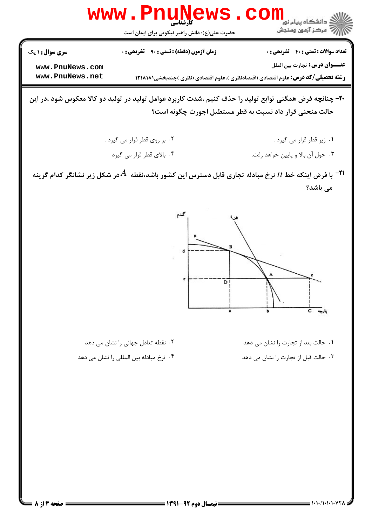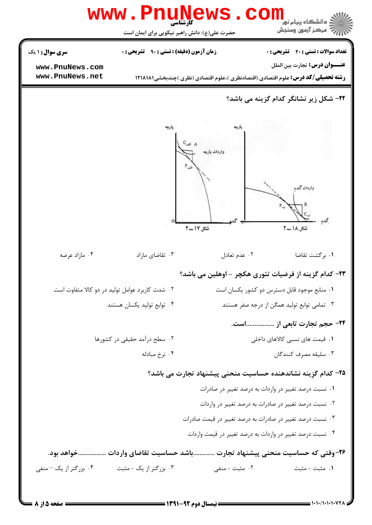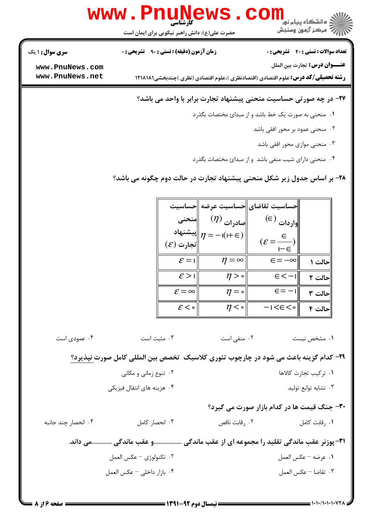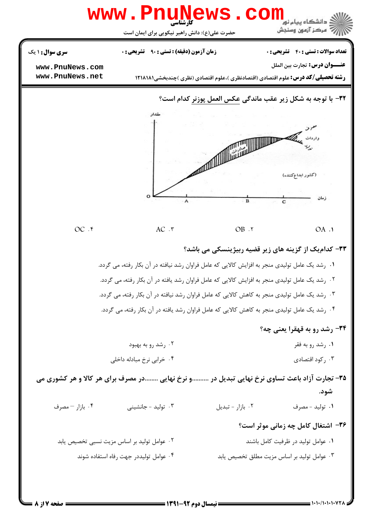